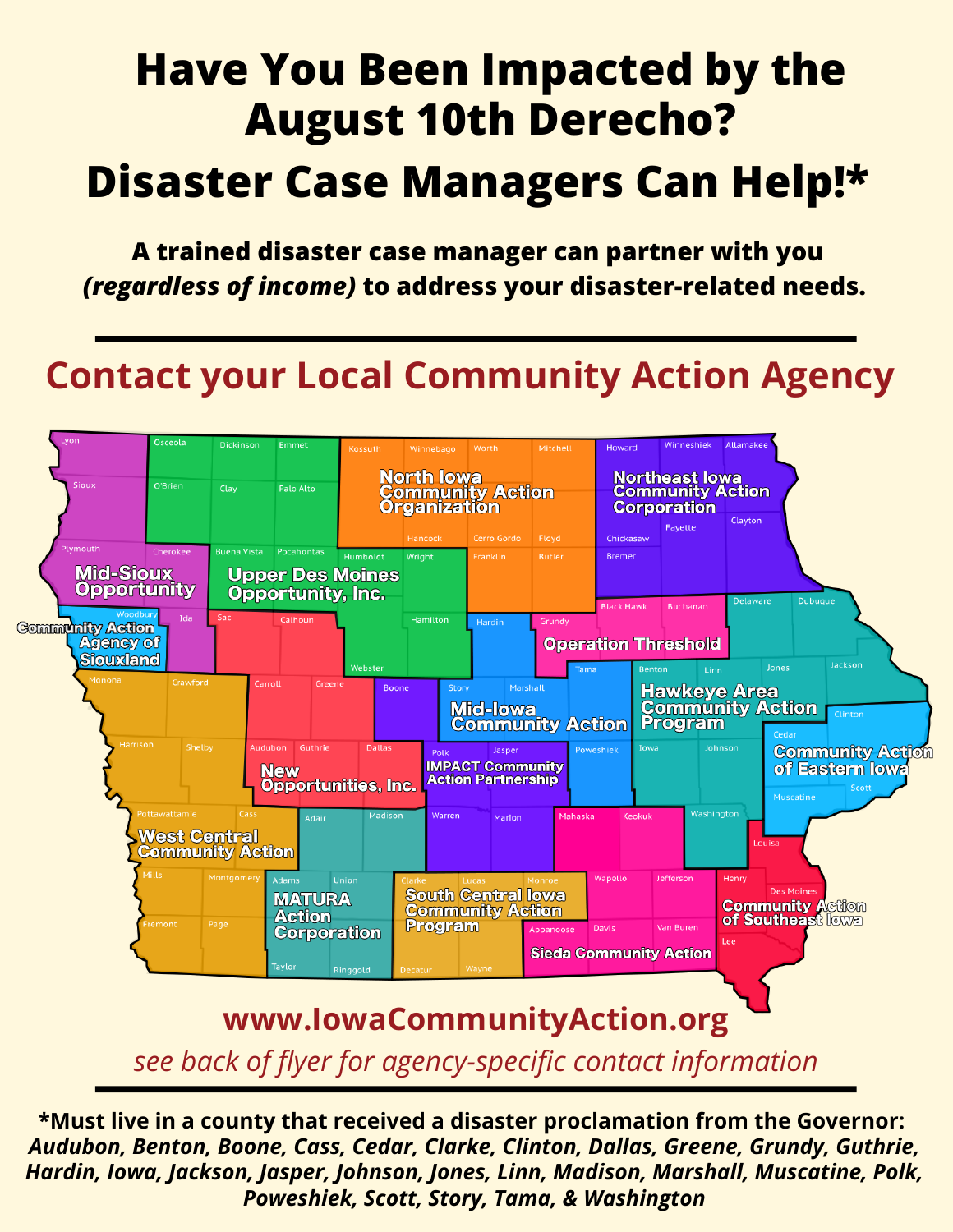# **Have You Been Impacted by the August 10th Derecho?**

### **Disaster Case Managers Can Help!\***

**A trained disaster case manager can partner with you** *(regardless of income)* **to address your disaster-related needs.**

### **Contact your Local Community Action Agency**



*see back of flyer for agency-specific contact information*

**\*Must live in a county that received a disaster proclamation from the Governor:** *Audubon, Benton, Boone, Cass, Cedar, Clarke, Clinton, Dallas, Greene, Grundy, Guthrie, Hardin, Iowa, Jackson, Jasper, Johnson, Jones, Linn, Madison, Marshall, Muscatine, Polk, Poweshiek, Scott, Story, Tama, & Washington*